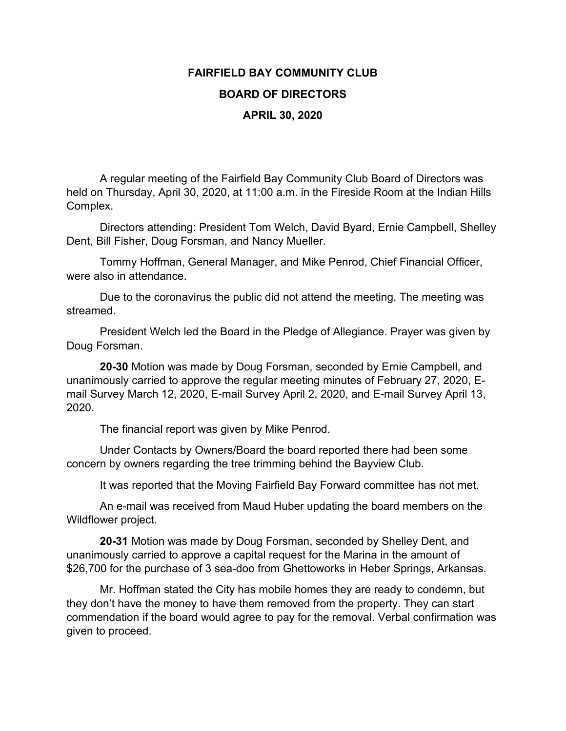## **FAIRFIELD BAY COMMUNITY CLUB BOARD OF DIRECTORS APRIL 30, 2020**

A regular meeting of the Fairfield Bay Community Club Board of Directors was held on Thursday, April 30, 2020, at 11:00 a.m. in the Fireside Room at the Indian Hills Complex.

Directors attending: President Tom Welch, David Byard, Ernie Campbell, Shelley Dent, Bill Fisher, Doug Forsman, and Nancy Mueller.

Tommy Hoffman, General Manager, and Mike Penrod, Chief Financial Officer, were also in attendance.

Due to the coronavirus the public did not attend the meeting. The meeting was streamed.

President Welch led the Board in the Pledge of Allegiance. Prayer was given by Doug Forsman.

**20-30** Motion was made by Doug Forsman, seconded by Ernie Campbell, and unanimously carried to approve the regular meeting minutes of February 27, 2020, Email Survey March 12, 2020, E-mail Survey April 2, 2020, and E-mail Survey April 13, 2020.

The financial report was given by Mike Penrod.

Under Contacts by Owners/Board the board reported there had been some concern by owners regarding the tree trimming behind the Bayview Club.

It was reported that the Moving Fairfield Bay Forward committee has not met.

An e-mail was received from Maud Huber updating the board members on the Wildflower project.

**20-31** Motion was made by Doug Forsman, seconded by Shelley Dent, and unanimously carried to approve a capital request for the Marina in the amount of \$26,700 for the purchase of 3 sea-doo from Ghettoworks in Heber Springs, Arkansas.

Mr. Hoffman stated the City has mobile homes they are ready to condemn, but they don't have the money to have them removed from the property. They can start commendation if the board would agree to pay for the removal. Verbal confirmation was given to proceed.